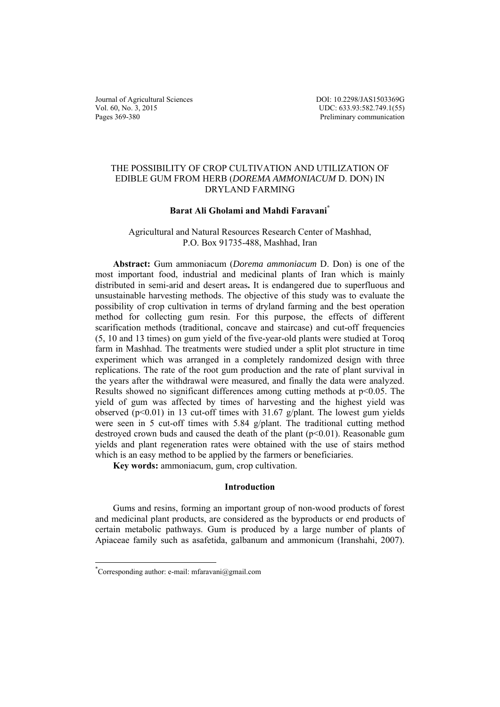Journal of Agricultural Sciences Vol. 60, No. 3, 2015 Pages 369-380

DOI: 10.2298/JAS1503369G UDC: 633.93:582.749.1(55) Preliminary communication

# THE POSSIBILITY OF CROP CULTIVATION AND UTILIZATION OF EDIBLE GUM FROM HERB (*DOREMA AMMONIACUM* D. DON) IN DRYLAND FARMING

## **Barat Ali Gholami and Mahdi Faravani\***

## Agricultural and Natural Resources Research Center of Mashhad, P.O. Box 91735-488, Mashhad, Iran

**Abstract:** Gum ammoniacum (*Dorema ammoniacum* D. Don) is one of the most important food, industrial and medicinal plants of Iran which is mainly distributed in semi-arid and desert areas**.** It is endangered due to superfluous and unsustainable harvesting methods. The objective of this study was to evaluate the possibility of crop cultivation in terms of dryland farming and the best operation method for collecting gum resin. For this purpose, the effects of different scarification methods (traditional, concave and staircase) and cut-off frequencies (5, 10 and 13 times) on gum yield of the five-year-old plants were studied at Toroq farm in Mashhad. The treatments were studied under a split plot structure in time experiment which was arranged in a completely randomized design with three replications. The rate of the root gum production and the rate of plant survival in the years after the withdrawal were measured, and finally the data were analyzed. Results showed no significant differences among cutting methods at  $p<0.05$ . The yield of gum was affected by times of harvesting and the highest yield was observed ( $p<0.01$ ) in 13 cut-off times with 31.67 g/plant. The lowest gum yields were seen in 5 cut-off times with 5.84 g/plant. The traditional cutting method destroyed crown buds and caused the death of the plant (p<0.01). Reasonable gum yields and plant regeneration rates were obtained with the use of stairs method which is an easy method to be applied by the farmers or beneficiaries.

**Key words:** ammoniacum, gum, crop cultivation.

## **Introduction**

Gums and resins, forming an important group of non-wood products of forest and medicinal plant products, are considered as the byproducts or end products of certain metabolic pathways. Gum is produced by a large number of plants of Apiaceae family such as asafetida, galbanum and ammonicum (Iranshahi, 2007).

 $\overline{a}$ 

<sup>\*</sup> Corresponding author: e-mail: mfaravani@gmail.com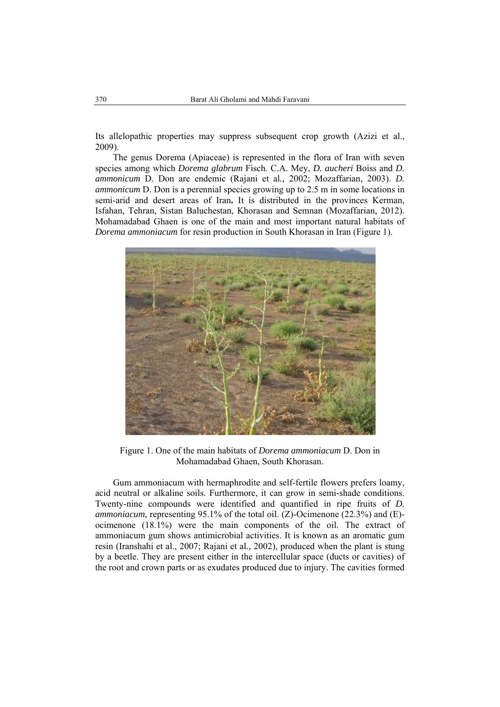Its allelopathic properties may suppress subsequent crop growth (Azizi et al., 2009).

The genus Dorema (Apiaceae) is represented in the flora of Iran with seven species among which *Dorema glabrum* Fisch. C.A. Mey, *D. aucheri* Boiss and *D. ammonicum* D. Don are endemic (Rajani et al*.,* 2002; Mozaffarian, 2003). *D. ammonicum* D. Don is a perennial species growing up to 2.5 m in some locations in semi-arid and desert areas of Iran**.** It is distributed in the provinces Kerman, Isfahan, Tehran, Sistan Baluchestan, Khorasan and Semnan (Mozaffarian, 2012). Mohamadabad Ghaen is one of the main and most important natural habitats of *Dorema ammoniacum* for resin production in South Khorasan in Iran (Figure 1).



Figure 1. One of the main habitats of *Dorema ammoniacum* D. Don in Mohamadabad Ghaen, South Khorasan.

Gum ammoniacum with hermaphrodite and self-fertile flowers prefers loamy, acid neutral or alkaline soils. Furthermore, it can grow in semi-shade conditions. Twenty-nine compounds were identified and quantified in ripe fruits of *D. ammoniacum*, representing 95.1% of the total oil. (Z)-Ocimenone (22.3%) and (E) ocimenone (18.1%) were the main components of the oil. The extract of ammoniacum gum shows antimicrobial activities. It is known as an aromatic gum resin (Iranshahi et al., 2007; Rajani et al*.,* 2002), produced when the plant is stung by a beetle. They are present either in the intercellular space (ducts or cavities) of the root and crown parts or as exudates produced due to injury. The cavities formed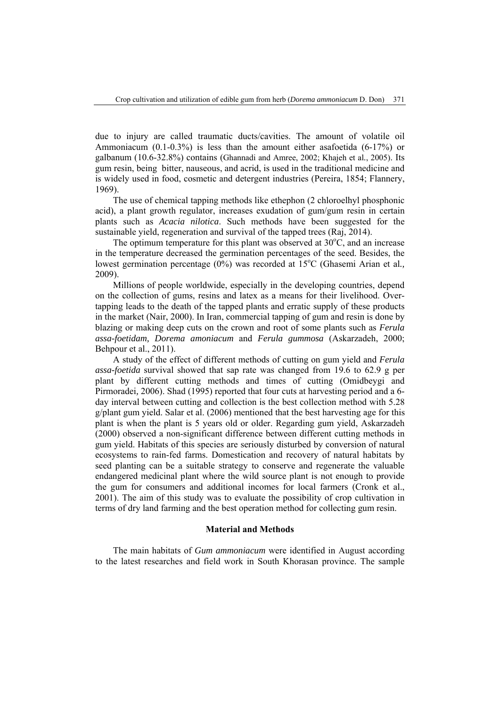due to injury are called traumatic ducts/cavities. The amount of volatile oil Ammoniacum (0.1-0.3%) is less than the amount either asafoetida (6-17%) or galbanum (10.6-32.8%) contains (Ghannadi and Amree, 2002; Khajeh et al*.*, 2005). Its gum resin, being bitter, nauseous, and acrid, is used in the traditional medicine and is widely used in food, cosmetic and detergent industries (Pereira, 1854; Flannery, 1969).

The use of chemical tapping methods like ethephon (2 chloroelhyl phosphonic acid), a plant growth regulator, increases exudation of gum/gum resin in certain plants such as *Acacia nilotica*. Such methods have been suggested for the sustainable yield, regeneration and survival of the tapped trees (Raj, 2014).

The optimum temperature for this plant was observed at  $30^{\circ}$ C, and an increase in the temperature decreased the germination percentages of the seed. Besides, the lowest germination percentage (0%) was recorded at 15°C (Ghasemi Arian et al., 2009).

Millions of people worldwide, especially in the developing countries, depend on the collection of gums, resins and latex as a means for their livelihood. Overtapping leads to the death of the tapped plants and erratic supply of these products in the market (Nair, 2000). In Iran, commercial tapping of gum and resin is done by blazing or making deep cuts on the crown and root of some plants such as *Ferula assa-foetidam, Dorema amoniacum* and *Ferula gummosa* (Askarzadeh, 2000; Behpour et al., 2011).

A study of the effect of different methods of cutting on gum yield and *Ferula assa-foetida* survival showed that sap rate was changed from 19.6 to 62.9 g per plant by different cutting methods and times of cutting (Omidbeygi and Pirmoradei*,* 2006). Shad (1995) reported that four cuts at harvesting period and a 6 day interval between cutting and collection is the best collection method with 5.28 g/plant gum yield. Salar et al. (2006) mentioned that the best harvesting age for this plant is when the plant is 5 years old or older. Regarding gum yield, Askarzadeh (2000) observed a non-significant difference between different cutting methods in gum yield. Habitats of this species are seriously disturbed by conversion of natural ecosystems to rain-fed farms. Domestication and recovery of natural habitats by seed planting can be a suitable strategy to conserve and regenerate the valuable endangered medicinal plant where the wild source plant is not enough to provide the gum for consumers and additional incomes for local farmers (Cronk et al., 2001). The aim of this study was to evaluate the possibility of crop cultivation in terms of dry land farming and the best operation method for collecting gum resin.

## **Material and Methods**

The main habitats of *Gum ammoniacum* were identified in August according to the latest researches and field work in South Khorasan province. The sample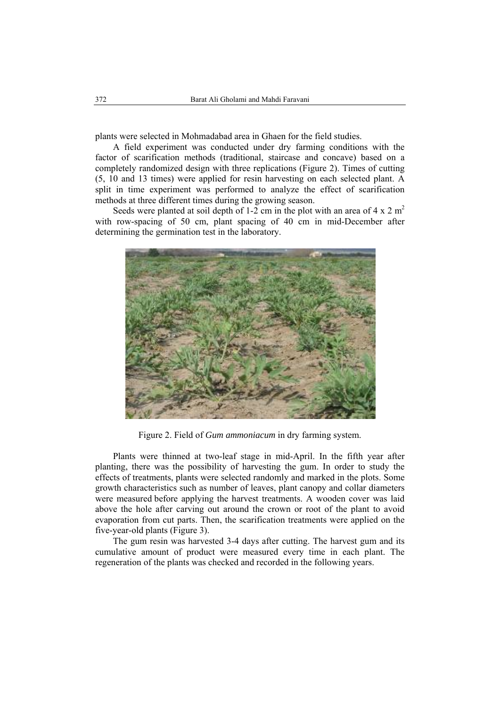plants were selected in Mohmadabad area in Ghaen for the field studies.

A field experiment was conducted under dry farming conditions with the factor of scarification methods (traditional, staircase and concave) based on a completely randomized design with three replications (Figure 2). Times of cutting (5, 10 and 13 times) were applied for resin harvesting on each selected plant. A split in time experiment was performed to analyze the effect of scarification methods at three different times during the growing season.

Seeds were planted at soil depth of 1-2 cm in the plot with an area of 4 x 2 m<sup>2</sup> with row-spacing of 50 cm, plant spacing of 40 cm in mid-December after determining the germination test in the laboratory.



Figure 2. Field of *Gum ammoniacum* in dry farming system.

Plants were thinned at two-leaf stage in mid-April. In the fifth year after planting, there was the possibility of harvesting the gum. In order to study the effects of treatments, plants were selected randomly and marked in the plots. Some growth characteristics such as number of leaves, plant canopy and collar diameters were measured before applying the harvest treatments. A wooden cover was laid above the hole after carving out around the crown or root of the plant to avoid evaporation from cut parts. Then, the scarification treatments were applied on the five-year-old plants (Figure 3).

The gum resin was harvested 3-4 days after cutting. The harvest gum and its cumulative amount of product were measured every time in each plant. The regeneration of the plants was checked and recorded in the following years.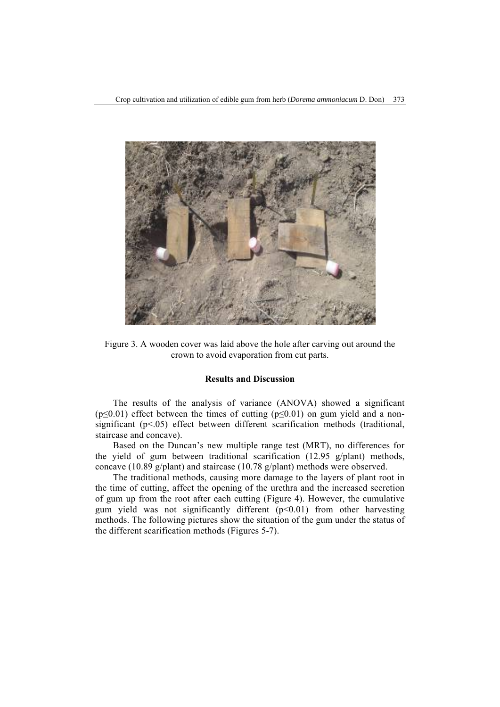

Figure 3. A wooden cover was laid above the hole after carving out around the crown to avoid evaporation from cut parts.

## **Results and Discussion**

The results of the analysis of variance (ANOVA) showed a significant ( $p \le 0.01$ ) effect between the times of cutting ( $p \le 0.01$ ) on gum yield and a nonsignificant  $(p<0.05)$  effect between different scarification methods (traditional, staircase and concave).

Based on the Duncan's new multiple range test (MRT), no differences for the yield of gum between traditional scarification (12.95 g/plant) methods, concave (10.89 g/plant) and staircase (10.78 g/plant) methods were observed.

The traditional methods, causing more damage to the layers of plant root in the time of cutting, affect the opening of the urethra and the increased secretion of gum up from the root after each cutting (Figure 4). However, the cumulative gum yield was not significantly different  $(p<0.01)$  from other harvesting methods. The following pictures show the situation of the gum under the status of the different scarification methods (Figures 5-7).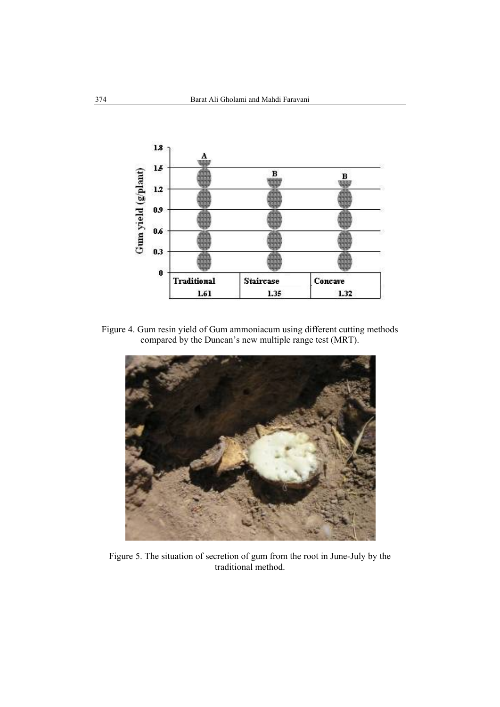

Figure 4. Gum resin yield of Gum ammoniacum using different cutting methods compared by the Duncan's new multiple range test (MRT).



Figure 5. The situation of secretion of gum from the root in June-July by the traditional method.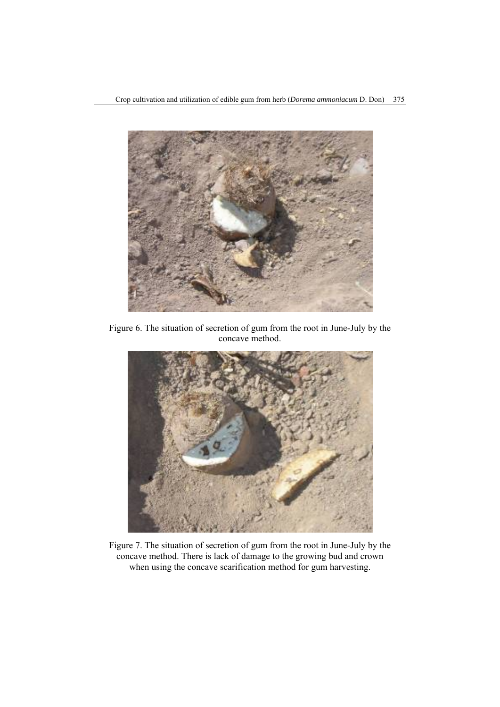

Figure 6. The situation of secretion of gum from the root in June-July by the concave method.



Figure 7. The situation of secretion of gum from the root in June-July by the concave method. There is lack of damage to the growing bud and crown when using the concave scarification method for gum harvesting.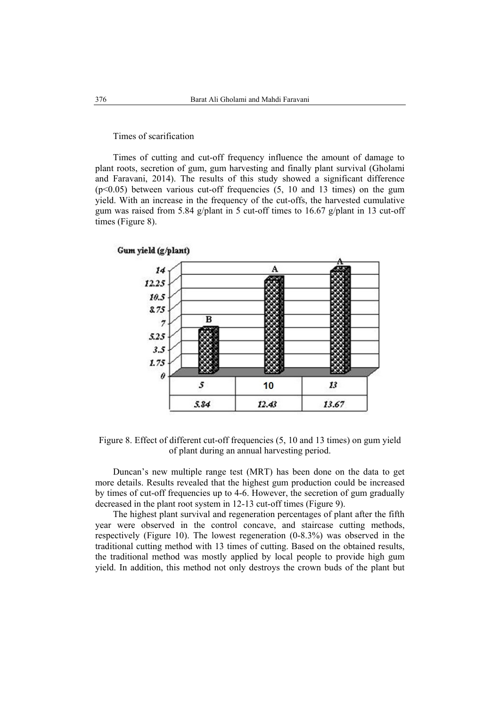### Times of scarification

Times of cutting and cut-off frequency influence the amount of damage to plant roots, secretion of gum, gum harvesting and finally plant survival (Gholami and Faravani, 2014). The results of this study showed a significant difference  $(p<0.05)$  between various cut-off frequencies  $(5, 10, 10, 13)$  times) on the gum yield. With an increase in the frequency of the cut-offs, the harvested cumulative gum was raised from 5.84 g/plant in 5 cut-off times to 16.67 g/plant in 13 cut-off times (Figure 8).



Figure 8. Effect of different cut-off frequencies (5, 10 and 13 times) on gum yield of plant during an annual harvesting period.

Duncan's new multiple range test (MRT) has been done on the data to get more details. Results revealed that the highest gum production could be increased by times of cut-off frequencies up to 4-6. However, the secretion of gum gradually decreased in the plant root system in 12-13 cut-off times (Figure 9).

The highest plant survival and regeneration percentages of plant after the fifth year were observed in the control concave, and staircase cutting methods, respectively (Figure 10). The lowest regeneration (0-8.3%) was observed in the traditional cutting method with 13 times of cutting. Based on the obtained results, the traditional method was mostly applied by local people to provide high gum yield. In addition, this method not only destroys the crown buds of the plant but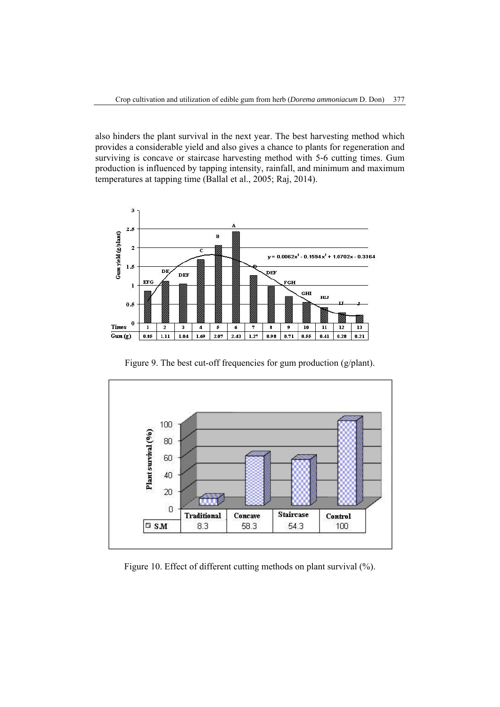also hinders the plant survival in the next year. The best harvesting method which provides a considerable yield and also gives a chance to plants for regeneration and surviving is concave or staircase harvesting method with 5-6 cutting times. Gum production is influenced by tapping intensity, rainfall, and minimum and maximum temperatures at tapping time (Ballal et al., 2005; Raj, 2014).



Figure 9. The best cut-off frequencies for gum production (g/plant).



Figure 10. Effect of different cutting methods on plant survival  $(\% )$ .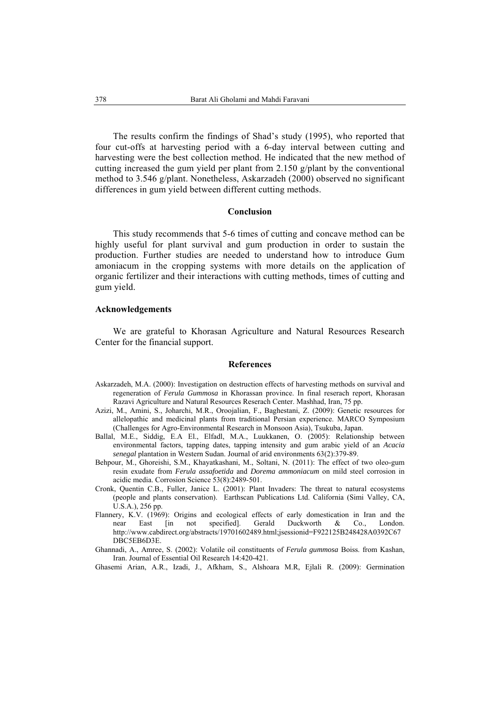The results confirm the findings of Shad's study (1995), who reported that four cut-offs at harvesting period with a 6-day interval between cutting and harvesting were the best collection method. He indicated that the new method of cutting increased the gum yield per plant from 2.150 g/plant by the conventional method to 3.546 g/plant. Nonetheless, Askarzadeh (2000) observed no significant differences in gum yield between different cutting methods.

#### **Conclusion**

This study recommends that 5-6 times of cutting and concave method can be highly useful for plant survival and gum production in order to sustain the production. Further studies are needed to understand how to introduce Gum amoniacum in the cropping systems with more details on the application of organic fertilizer and their interactions with cutting methods, times of cutting and gum yield.

## **Acknowledgements**

We are grateful to Khorasan Agriculture and Natural Resources Research Center for the financial support.

#### **References**

- Askarzadeh, M.A. (2000): Investigation on destruction effects of harvesting methods on survival and regeneration of *Ferula Gummosa* in Khorassan province. In final reserach report, Khorasan Razavi Agriculture and Natural Resources Reserach Center. Mashhad, Iran, 75 pp.
- Azizi, M., Amini, S., Joharchi, M.R., Oroojalian, F., Baghestani, Z. (2009): Genetic resources for allelopathic and medicinal plants from traditional Persian experience. MARCO Symposium (Challenges for Agro-Environmental Research in Monsoon Asia), Tsukuba, Japan.
- Ballal, M.E., Siddig, E.A El., Elfadl, M.A., Luukkanen, O. (2005): Relationship between environmental factors, tapping dates, tapping intensity and gum arabic yield of an *Acacia senegal* plantation in Western Sudan. Journal of arid environments 63(2):379-89.
- Behpour, M., Ghoreishi, S.M., Khayatkashani, M., Soltani, N. (2011): The effect of two oleo-gum resin exudate from *Ferula assafoetida* and *Dorema ammoniacum* on mild steel corrosion in acidic media. Corrosion Science 53(8):2489-501.
- Cronk, Quentin C.B., Fuller, Janice L. (2001): Plant Invaders: The threat to natural ecosystems (people and plants conservation). Earthscan Publications Ltd. California (Simi Valley, CA, U.S.A.), 256 pp.
- Flannery, K.V. (1969): Origins and ecological effects of early domestication in Iran and the near East [in not specified]. Gerald Duckworth & Co., London. http://www.cabdirect.org/abstracts/19701602489.html;jsessionid=F922125B248428A0392C67 DBC5EB6D3E.
- Ghannadi, A., Amree, S. (2002): Volatile oil constituents of *Ferula gummosa* Boiss. from Kashan, Iran. Journal of Essential Oil Research 14:420-421.
- Ghasemi Arian, A.R., Izadi, J., Afkham, S., Alshoara M.R, Ejlali R. (2009): Germination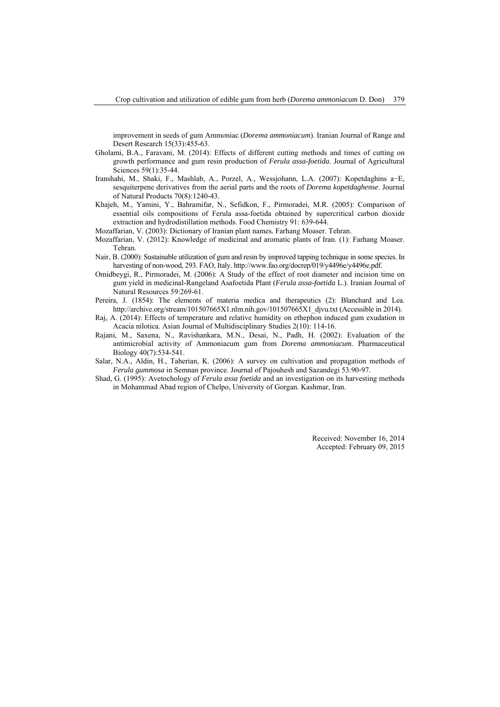improvement in seeds of gum Ammoniac (*Dorema ammoniacum*). Iranian Journal of Range and Desert Research 15(33):455-63.

- Gholami, B.A., Faravani, M. (2014): Effects of different cutting methods and times of cutting on growth performance and gum resin production of *Ferula assa-foetida*. Journal of Agricultural Sciences 59(1):35-44.
- Iranshahi, M., Shaki, F., Mashlab, A., Porzel, A., Wessjohann, L.A. (2007): Kopetdaghins a−E, sesquiterpene derivatives from the aerial parts and the roots of *Dorema kopetdaghense*. Journal of Natural Products 70(8):1240-43.
- Khajeh, M., Yamini, Y., Bahramifar, N., Sefidkon, F., Pirmoradei, M.R. (2005): Comparison of essential oils compositions of Ferula assa-foetida obtained by supercritical carbon dioxide extraction and hydrodistillation methods. Food Chemistry 91: 639-644.
- Mozaffarian, V. (2003): Dictionary of Iranian plant names*.* Farhang Moaser. Tehran.
- Mozaffarian, V. (2012): Knowledge of medicinal and aromatic plants of Iran. (1): Farhang Moaser. Tehran.
- Nair, B. (2000): Sustainable utilization of gum and resin by improved tapping technique in some species. In harvesting of non-wood, 293. FAO, Italy. http://www.fao.org/docrep/019/y4496e/y4496e.pdf.
- Omidbeygi, R., Pirmoradei, M. (2006): A Study of the effect of root diameter and incision time on gum yield in medicinal-Rangeland Asafoetida Plant (*Ferula assa-foetida* L.). Iranian Journal of Natural Resources 59:269-61.
- Pereira, J. (1854): The elements of materia medica and therapeutics (2): Blanchard and Lea. http://archive.org/stream/101507665X1.nlm.nih.gov/101507665X1\_djvu.txt (Accessible in 2014).
- Raj, A. (2014): Effects of temperature and relative humidity on ethephon induced gum exudation in Acacia nilotica. Asian Journal of Multidisciplinary Studies 2(10): 114-16.
- Rajani, M., Saxena, N., Ravishankara, M.N., Desai, N., Padh, H. (2002): Evaluation of the antimicrobial activity of Ammoniacum gum from *Dorema ammoniacum*. Pharmaceutical Biology 40(7):534-541.
- Salar, N.A., Aldin, H., Taherian, K. (2006): A survey on cultivation and propagation methods of *Ferula gummosa* in Semnan province. Journal of Pajouhesh and Sazandegi 53:90-97.
- Shad, G. (1995): Avetochology of *Ferula assa foetida* and an investigation on its harvesting methods in Mohammad Abad region of Chelpo, University of Gorgan. Kashmar, Iran.

Received: November 16, 2014 Accepted: February 09, 2015